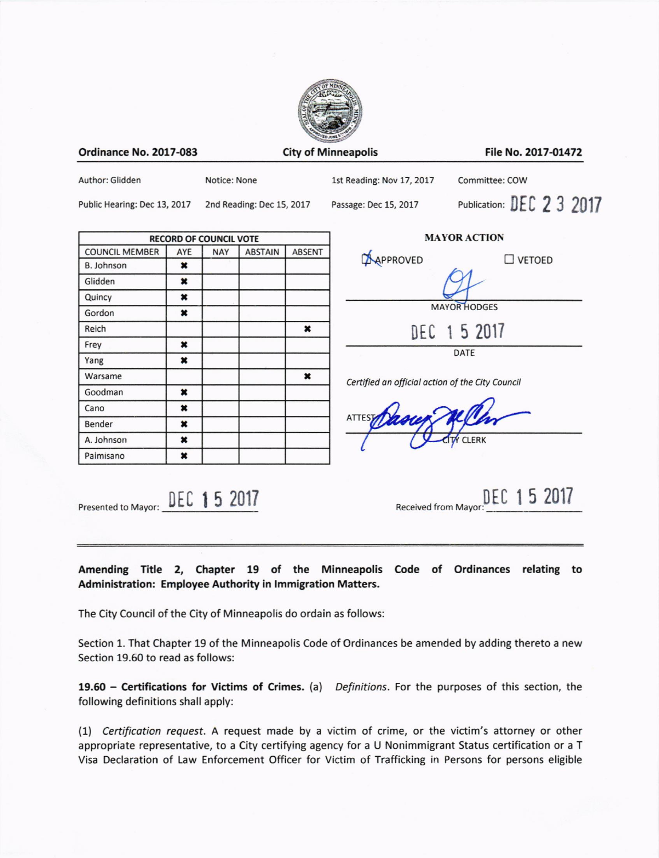

**Ordinance No. 2017-083** 

**City of Minneapolis** 

File No. 2017-01472

Author: Glidden

Notice: None

1st Reading: Nov 17, 2017

Committee: COW

Public Hearing: Dec 13, 2017

2nd Reading: Dec 15, 2017

Passage: Dec 15, 2017

Publication: DEC 2 3 2017

| <b>COUNCIL MEMBER</b> | AYE | <b>NAY</b> | <b>ABSTAIN</b> | <b>ABSENT</b> |
|-----------------------|-----|------------|----------------|---------------|
| <b>B. Johnson</b>     | ×   |            |                |               |
| Glidden               | ×   |            |                |               |
| Quincy                | ×   |            |                |               |
| Gordon                | ×   |            |                |               |
| Reich                 |     |            |                | ×             |
| Frey                  | ×   |            |                |               |
| Yang                  | ×   |            |                |               |
| Warsame               |     |            |                | ×             |
| Goodman               | ×   |            |                |               |
| Cano                  | ×   |            |                |               |
| Bender                | ×   |            |                |               |
| A. Johnson            | ×   |            |                |               |
| Palmisano             | ×   |            |                |               |

| <b>MAYOR ACTION</b> |             |                  |  |  |  |
|---------------------|-------------|------------------|--|--|--|
| APPROVED            |             | $\square$ VETOED |  |  |  |
|                     |             |                  |  |  |  |
| <b>MAYOR HODGES</b> |             |                  |  |  |  |
|                     | DEC 15 2017 |                  |  |  |  |
| DATE                |             |                  |  |  |  |

Certified an official action of the City Council

Presented to Mayor: DEC 15 2017

DEC 15 2017 Received from Mayor

Amending Title 2, Chapter 19 of the Minneapolis Code of Ordinances relating to Administration: Employee Authority in Immigration Matters.

The City Council of the City of Minneapolis do ordain as follows:

Section 1. That Chapter 19 of the Minneapolis Code of Ordinances be amended by adding thereto a new Section 19.60 to read as follows:

19.60 - Certifications for Victims of Crimes. (a) Definitions. For the purposes of this section, the following definitions shall apply:

(1) Certification request. A request made by a victim of crime, or the victim's attorney or other appropriate representative, to a City certifying agency for a U Nonimmigrant Status certification or a T Visa Declaration of Law Enforcement Officer for Victim of Trafficking in Persons for persons eligible